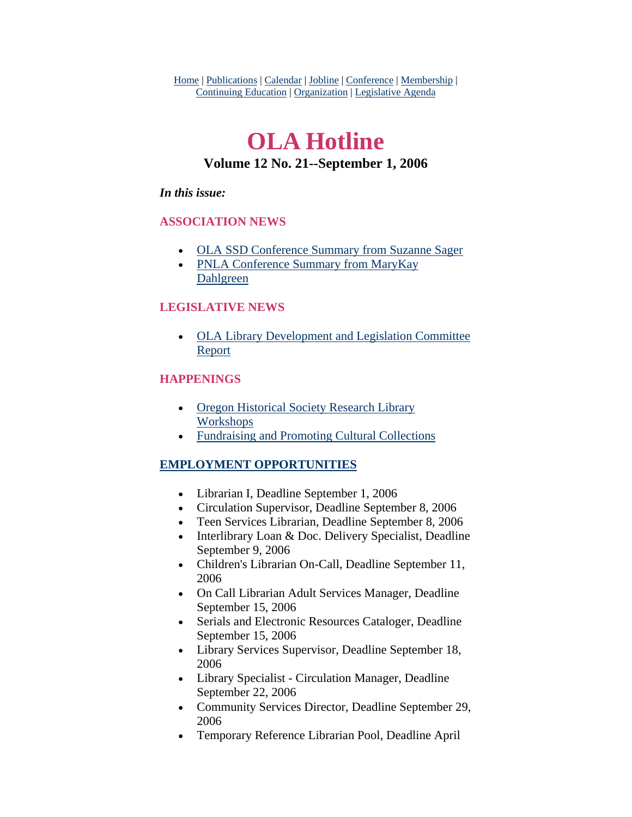Home | Publications | Calendar | Jobline | Conference | Membership | Continuing Education | Organization | Legislative Agenda

# **OLA Hotline Volume 12 No. 21--September 1, 2006**

#### *In this issue:*

#### **ASSOCIATION NEWS**

- [OLA SSD Conference Summary from Suzanne Sager](#page-1-0)
- PNLA Conference Summary from MaryKay [Dahlgreen](#page-3-0)

### **LEGISLATIVE NEWS**

• [OLA Library Development and Legislation Committee](#page-5-0)  [Report](#page-5-0)

#### **HAPPENINGS**

- Oregon Historical Society Research Library [Workshops](#page-6-0)
- [Fundraising and Promoting Cultural Collections](#page-6-0)

### **EMPLOYMENT OPPORTUNITIES**

- Librarian I, Deadline September 1, 2006
- Circulation Supervisor, Deadline September 8, 2006
- Teen Services Librarian, Deadline September 8, 2006
- Interlibrary Loan & Doc. Delivery Specialist, Deadline September 9, 2006
- Children's Librarian On-Call, Deadline September 11, 2006
- On Call Librarian Adult Services Manager, Deadline September 15, 2006
- Serials and Electronic Resources Cataloger, Deadline September 15, 2006
- Library Services Supervisor, Deadline September 18, 2006
- Library Specialist Circulation Manager, Deadline September 22, 2006
- Community Services Director, Deadline September 29, 2006
- Temporary Reference Librarian Pool, Deadline April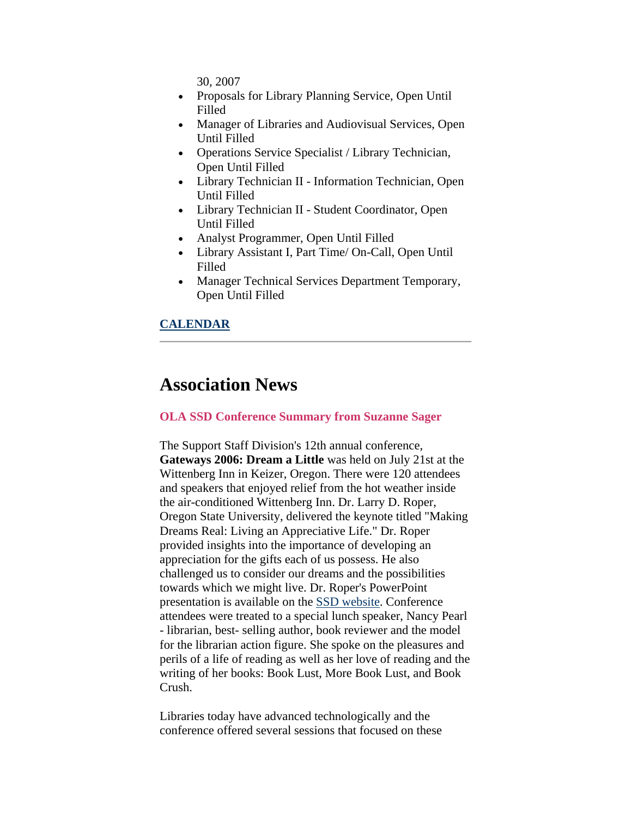30, 2007

- <span id="page-1-0"></span>• Proposals for Library Planning Service, Open Until Filled
- Manager of Libraries and Audiovisual Services, Open Until Filled
- Operations Service Specialist / Library Technician, Open Until Filled
- Library Technician II Information Technician, Open Until Filled
- Library Technician II Student Coordinator, Open Until Filled
- Analyst Programmer, Open Until Filled
- Library Assistant I, Part Time/ On-Call, Open Until Filled
- Manager Technical Services Department Temporary, Open Until Filled

#### **CALENDAR**

## **Association News**

#### **OLA SSD Conference Summary from Suzanne Sager**

The Support Staff Division's 12th annual conference, **Gateways 2006: Dream a Little** was held on July 21st at the Wittenberg Inn in Keizer, Oregon. There were 120 attendees and speakers that enjoyed relief from the hot weather inside the air-conditioned Wittenberg Inn. Dr. Larry D. Roper, Oregon State University, delivered the keynote titled "Making Dreams Real: Living an Appreciative Life." Dr. Roper provided insights into the importance of developing an appreciation for the gifts each of us possess. He also challenged us to consider our dreams and the possibilities towards which we might live. Dr. Roper's PowerPoint presentation is available on the [SSD website](http://library.willamette.edu/ssd/conference/). Conference attendees were treated to a special lunch speaker, Nancy Pearl - librarian, best- selling author, book reviewer and the model for the librarian action figure. She spoke on the pleasures and perils of a life of reading as well as her love of reading and the writing of her books: Book Lust, More Book Lust, and Book Crush.

Libraries today have advanced technologically and the conference offered several sessions that focused on these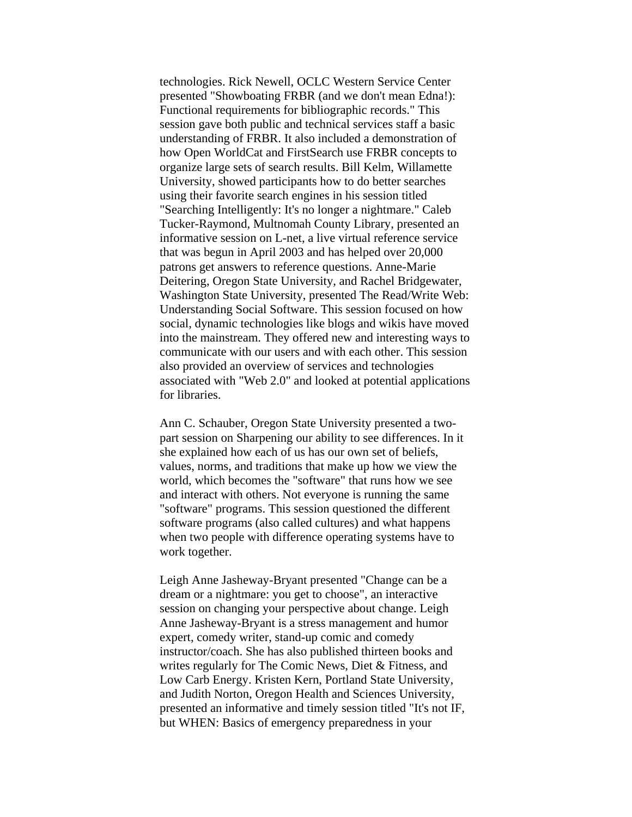technologies. Rick Newell, OCLC Western Service Center presented "Showboating FRBR (and we don't mean Edna!): Functional requirements for bibliographic records." This session gave both public and technical services staff a basic understanding of FRBR. It also included a demonstration of how Open WorldCat and FirstSearch use FRBR concepts to organize large sets of search results. Bill Kelm, Willamette University, showed participants how to do better searches using their favorite search engines in his session titled "Searching Intelligently: It's no longer a nightmare." Caleb Tucker-Raymond, Multnomah County Library, presented an informative session on L-net, a live virtual reference service that was begun in April 2003 and has helped over 20,000 patrons get answers to reference questions. Anne-Marie Deitering, Oregon State University, and Rachel Bridgewater, Washington State University, presented The Read/Write Web: Understanding Social Software. This session focused on how social, dynamic technologies like blogs and wikis have moved into the mainstream. They offered new and interesting ways to communicate with our users and with each other. This session also provided an overview of services and technologies associated with "Web 2.0" and looked at potential applications for libraries.

Ann C. Schauber, Oregon State University presented a twopart session on Sharpening our ability to see differences. In it she explained how each of us has our own set of beliefs, values, norms, and traditions that make up how we view the world, which becomes the "software" that runs how we see and interact with others. Not everyone is running the same "software" programs. This session questioned the different software programs (also called cultures) and what happens when two people with difference operating systems have to work together.

Leigh Anne Jasheway-Bryant presented "Change can be a dream or a nightmare: you get to choose", an interactive session on changing your perspective about change. Leigh Anne Jasheway-Bryant is a stress management and humor expert, comedy writer, stand-up comic and comedy instructor/coach. She has also published thirteen books and writes regularly for The Comic News, Diet & Fitness, and Low Carb Energy. Kristen Kern, Portland State University, and Judith Norton, Oregon Health and Sciences University, presented an informative and timely session titled "It's not IF, but WHEN: Basics of emergency preparedness in your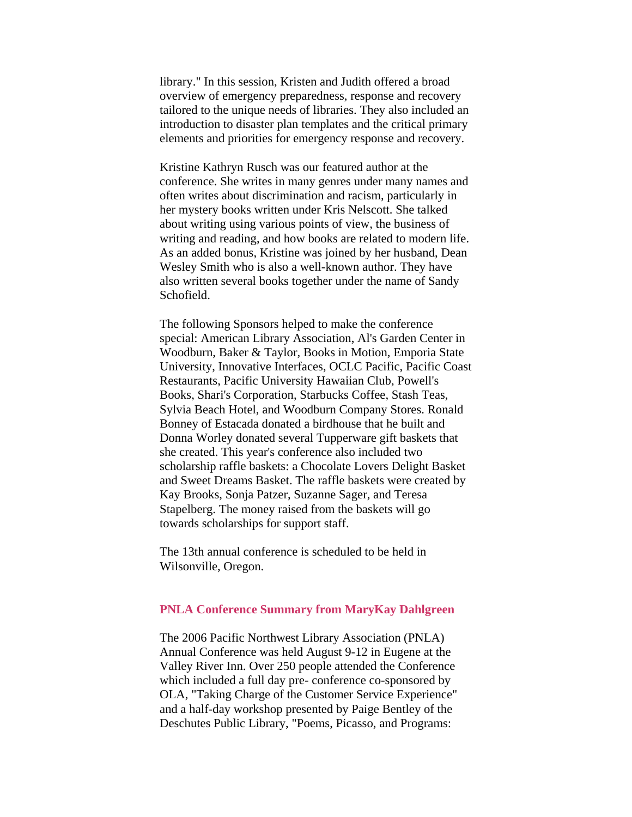<span id="page-3-0"></span>library." In this session, Kristen and Judith offered a broad overview of emergency preparedness, response and recovery tailored to the unique needs of libraries. They also included an introduction to disaster plan templates and the critical primary elements and priorities for emergency response and recovery.

Kristine Kathryn Rusch was our featured author at the conference. She writes in many genres under many names and often writes about discrimination and racism, particularly in her mystery books written under Kris Nelscott. She talked about writing using various points of view, the business of writing and reading, and how books are related to modern life. As an added bonus, Kristine was joined by her husband, Dean Wesley Smith who is also a well-known author. They have also written several books together under the name of Sandy Schofield.

The following Sponsors helped to make the conference special: American Library Association, Al's Garden Center in Woodburn, Baker & Taylor, Books in Motion, Emporia State University, Innovative Interfaces, OCLC Pacific, Pacific Coast Restaurants, Pacific University Hawaiian Club, Powell's Books, Shari's Corporation, Starbucks Coffee, Stash Teas, Sylvia Beach Hotel, and Woodburn Company Stores. Ronald Bonney of Estacada donated a birdhouse that he built and Donna Worley donated several Tupperware gift baskets that she created. This year's conference also included two scholarship raffle baskets: a Chocolate Lovers Delight Basket and Sweet Dreams Basket. The raffle baskets were created by Kay Brooks, Sonja Patzer, Suzanne Sager, and Teresa Stapelberg. The money raised from the baskets will go towards scholarships for support staff.

The 13th annual conference is scheduled to be held in Wilsonville, Oregon.

#### **PNLA Conference Summary from MaryKay Dahlgreen**

The 2006 Pacific Northwest Library Association (PNLA) Annual Conference was held August 9-12 in Eugene at the Valley River Inn. Over 250 people attended the Conference which included a full day pre- conference co-sponsored by OLA, "Taking Charge of the Customer Service Experience" and a half-day workshop presented by Paige Bentley of the Deschutes Public Library, "Poems, Picasso, and Programs: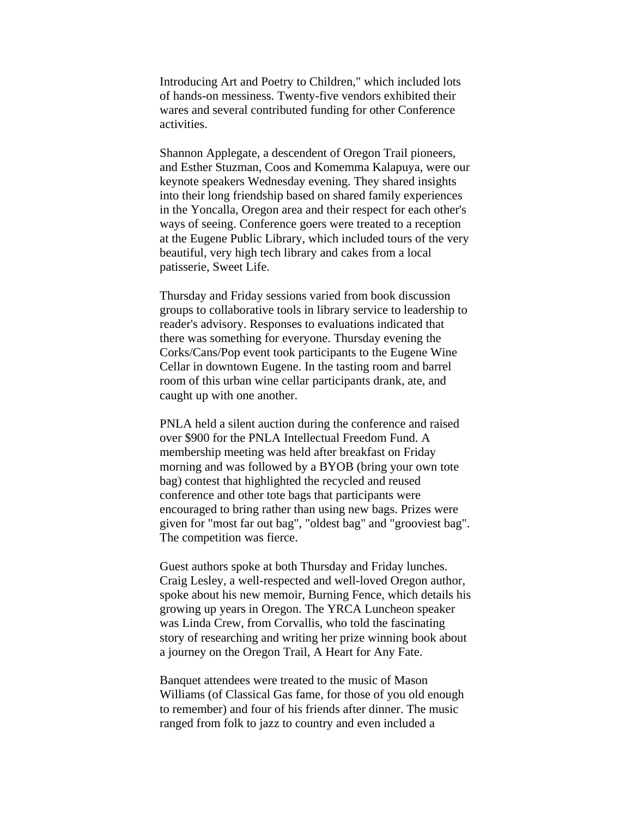Introducing Art and Poetry to Children," which included lots of hands-on messiness. Twenty-five vendors exhibited their wares and several contributed funding for other Conference activities.

Shannon Applegate, a descendent of Oregon Trail pioneers, and Esther Stuzman, Coos and Komemma Kalapuya, were our keynote speakers Wednesday evening. They shared insights into their long friendship based on shared family experiences in the Yoncalla, Oregon area and their respect for each other's ways of seeing. Conference goers were treated to a reception at the Eugene Public Library, which included tours of the very beautiful, very high tech library and cakes from a local patisserie, Sweet Life.

Thursday and Friday sessions varied from book discussion groups to collaborative tools in library service to leadership to reader's advisory. Responses to evaluations indicated that there was something for everyone. Thursday evening the Corks/Cans/Pop event took participants to the Eugene Wine Cellar in downtown Eugene. In the tasting room and barrel room of this urban wine cellar participants drank, ate, and caught up with one another.

PNLA held a silent auction during the conference and raised over \$900 for the PNLA Intellectual Freedom Fund. A membership meeting was held after breakfast on Friday morning and was followed by a BYOB (bring your own tote bag) contest that highlighted the recycled and reused conference and other tote bags that participants were encouraged to bring rather than using new bags. Prizes were given for "most far out bag", "oldest bag" and "grooviest bag". The competition was fierce.

Guest authors spoke at both Thursday and Friday lunches. Craig Lesley, a well-respected and well-loved Oregon author, spoke about his new memoir, Burning Fence, which details his growing up years in Oregon. The YRCA Luncheon speaker was Linda Crew, from Corvallis, who told the fascinating story of researching and writing her prize winning book about a journey on the Oregon Trail, A Heart for Any Fate.

Banquet attendees were treated to the music of Mason Williams (of Classical Gas fame, for those of you old enough to remember) and four of his friends after dinner. The music ranged from folk to jazz to country and even included a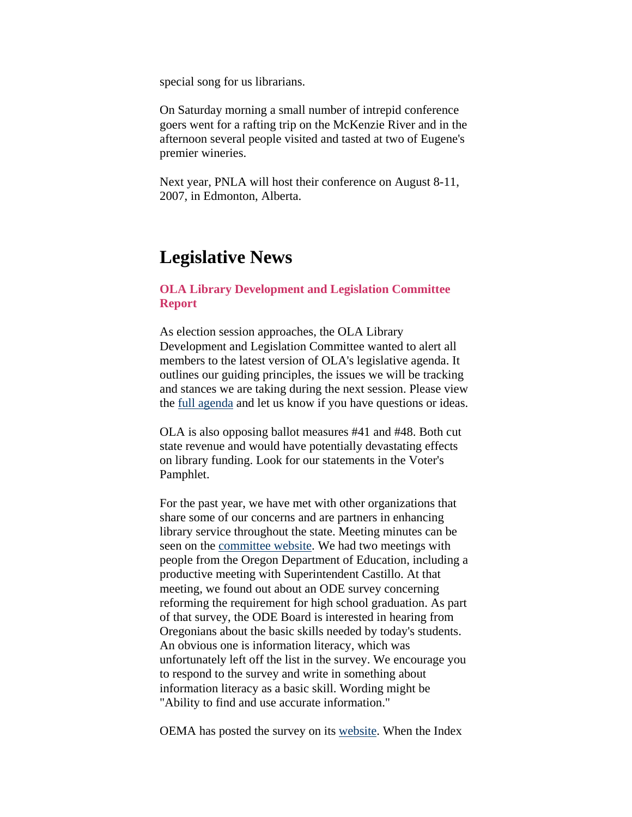<span id="page-5-0"></span>special song for us librarians.

On Saturday morning a small number of intrepid conference goers went for a rafting trip on the McKenzie River and in the afternoon several people visited and tasted at two of Eugene's premier wineries.

Next year, PNLA will host their conference on August 8-11, 2007, in Edmonton, Alberta.

### **Legislative News**

#### **OLA Library Development and Legislation Committee Report**

As election session approaches, the OLA Library Development and Legislation Committee wanted to alert all members to the latest version of OLA's legislative agenda. It outlines our guiding principles, the issues we will be tracking and stances we are taking during the next session. Please view the [full agenda](http://www.olaweb.org/agenda.shtml) and let us know if you have questions or ideas.

OLA is also opposing ballot measures #41 and #48. Both cut state revenue and would have potentially devastating effects on library funding. Look for our statements in the Voter's Pamphlet.

For the past year, we have met with other organizations that share some of our concerns and are partners in enhancing library service throughout the state. Meeting minutes can be seen on the [committee website](http://www.olaweb.org/org/lad.shtml). We had two meetings with people from the Oregon Department of Education, including a productive meeting with Superintendent Castillo. At that meeting, we found out about an ODE survey concerning reforming the requirement for high school graduation. As part of that survey, the ODE Board is interested in hearing from Oregonians about the basic skills needed by today's students. An obvious one is information literacy, which was unfortunately left off the list in the survey. We encourage you to respond to the survey and write in something about information literacy as a basic skill. Wording might be "Ability to find and use accurate information."

OEMA has posted the survey on its [website](http://www.oema.net/documents/). When the Index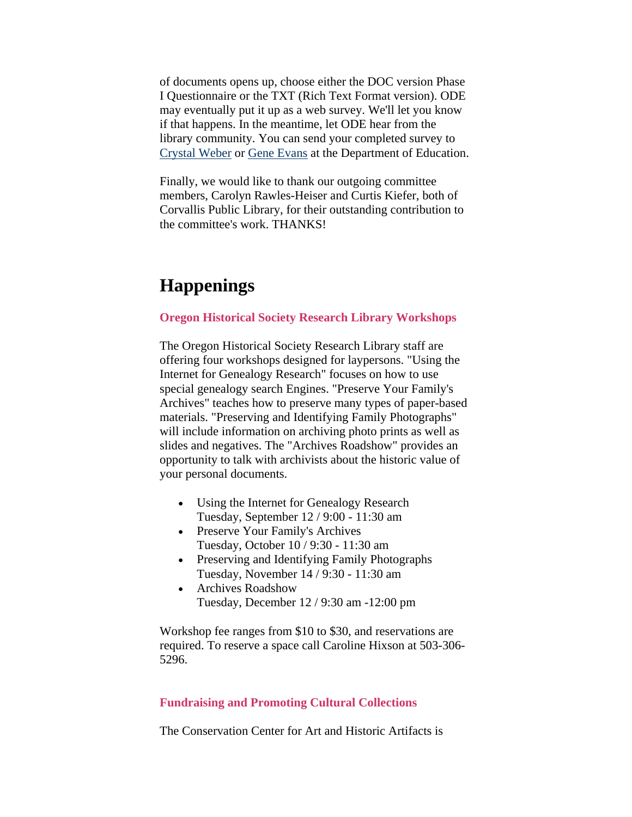<span id="page-6-0"></span>of documents opens up, choose either the DOC version Phase I Questionnaire or the TXT (Rich Text Format version). ODE may eventually put it up as a web survey. We'll let you know if that happens. In the meantime, let ODE hear from the library community. You can send your completed survey to [Crystal Weber](mailto:Crystal.Weber@state.or.us) or [Gene Evans](mailto:Gene.Evans@state.or.us) at the Department of Education.

Finally, we would like to thank our outgoing committee members, Carolyn Rawles-Heiser and Curtis Kiefer, both of Corvallis Public Library, for their outstanding contribution to the committee's work. THANKS!

# **Happenings**

#### **Oregon Historical Society Research Library Workshops**

The Oregon Historical Society Research Library staff are offering four workshops designed for laypersons. "Using the Internet for Genealogy Research" focuses on how to use special genealogy search Engines. "Preserve Your Family's Archives" teaches how to preserve many types of paper-based materials. "Preserving and Identifying Family Photographs" will include information on archiving photo prints as well as slides and negatives. The "Archives Roadshow" provides an opportunity to talk with archivists about the historic value of your personal documents.

- Using the Internet for Genealogy Research Tuesday, September 12 / 9:00 - 11:30 am
- Preserve Your Family's Archives Tuesday, October 10 / 9:30 - 11:30 am
- Preserving and Identifying Family Photographs Tuesday, November 14 / 9:30 - 11:30 am
- Archives Roadshow Tuesday, December 12 / 9:30 am -12:00 pm

Workshop fee ranges from \$10 to \$30, and reservations are required. To reserve a space call Caroline Hixson at 503-306- 5296.

#### **Fundraising and Promoting Cultural Collections**

The Conservation Center for Art and Historic Artifacts is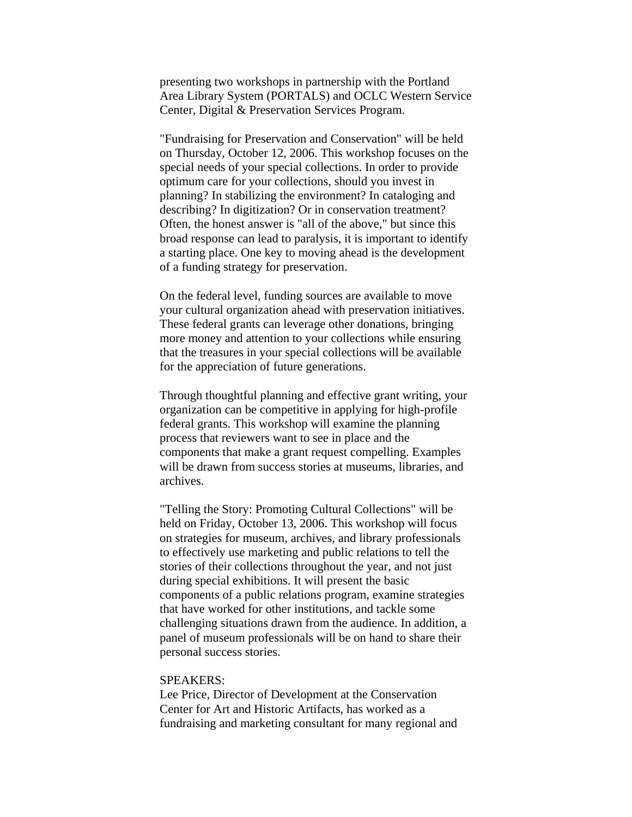presenting two workshops in partnership with the Portland Area Library System (PORTALS) and OCLC Western Service Center, Digital & Preservation Services Program.

"Fundraising for Preservation and Conservation" will be held on Thursday, October 12, 2006. This workshop focuses on the special needs of your special collections. In order to provide optimum care for your collections, should you invest in planning? In stabilizing the environment? In cataloging and describing? In digitization? Or in conservation treatment? Often, the honest answer is "all of the above," but since this broad response can lead to paralysis, it is important to identify a starting place. One key to moving ahead is the development of a funding strategy for preservation.

On the federal level, funding sources are available to move your cultural organization ahead with preservation initiatives. These federal grants can leverage other donations, bringing more money and attention to your collections while ensuring that the treasures in your special collections will be available for the appreciation of future generations.

Through thoughtful planning and effective grant writing, your organization can be competitive in applying for high-profile federal grants. This workshop will examine the planning process that reviewers want to see in place and the components that make a grant request compelling. Examples will be drawn from success stories at museums, libraries, and archives.

"Telling the Story: Promoting Cultural Collections" will be held on Friday, October 13, 2006. This workshop will focus on strategies for museum, archives, and library professionals to effectively use marketing and public relations to tell the stories of their collections throughout the year, and not just during special exhibitions. It will present the basic components of a public relations program, examine strategies that have worked for other institutions, and tackle some challenging situations drawn from the audience. In addition, a panel of museum professionals will be on hand to share their personal success stories.

#### SPEAKERS:

Lee Price, Director of Development at the Conservation Center for Art and Historic Artifacts, has worked as a fundraising and marketing consultant for many regional and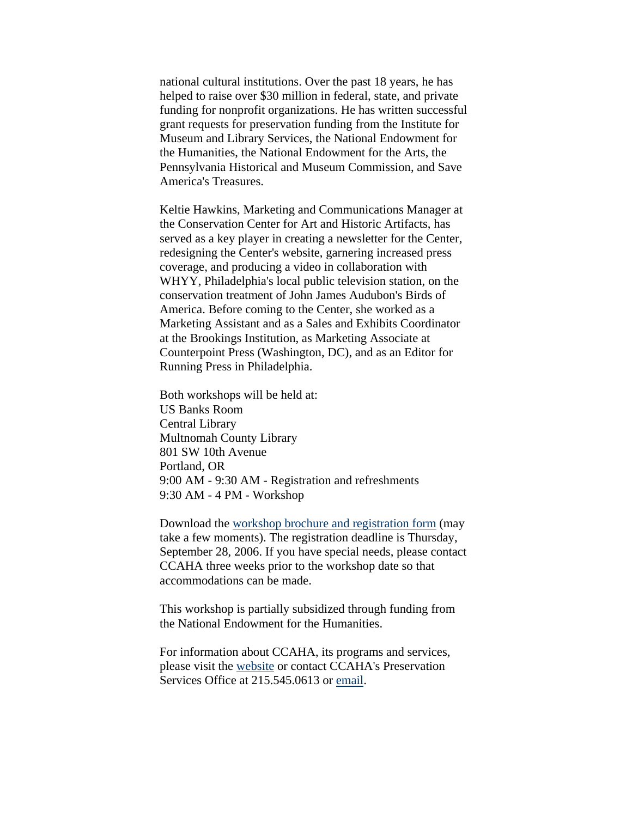national cultural institutions. Over the past 18 years, he has helped to raise over \$30 million in federal, state, and private funding for nonprofit organizations. He has written successful grant requests for preservation funding from the Institute for Museum and Library Services, the National Endowment for the Humanities, the National Endowment for the Arts, the Pennsylvania Historical and Museum Commission, and Save America's Treasures.

Keltie Hawkins, Marketing and Communications Manager at the Conservation Center for Art and Historic Artifacts, has served as a key player in creating a newsletter for the Center, redesigning the Center's website, garnering increased press coverage, and producing a video in collaboration with WHYY, Philadelphia's local public television station, on the conservation treatment of John James Audubon's Birds of America. Before coming to the Center, she worked as a Marketing Assistant and as a Sales and Exhibits Coordinator at the Brookings Institution, as Marketing Associate at Counterpoint Press (Washington, DC), and as an Editor for Running Press in Philadelphia.

Both workshops will be held at: US Banks Room Central Library Multnomah County Library 801 SW 10th Avenue Portland, OR 9:00 AM - 9:30 AM - Registration and refreshments 9:30 AM - 4 PM - Workshop

Download the [workshop brochure and registration form](http://www.ccaha.org/workshop_cal.php) (may take a few moments). The registration deadline is Thursday, September 28, 2006. If you have special needs, please contact CCAHA three weeks prior to the workshop date so that accommodations can be made.

This workshop is partially subsidized through funding from the National Endowment for the Humanities.

For information about CCAHA, its programs and services, please visit the [website](http://www.ccaha.org/) or contact CCAHA's Preservation Services Office at 215.545.0613 or [email](mailto:ccaha@ccaha.org).